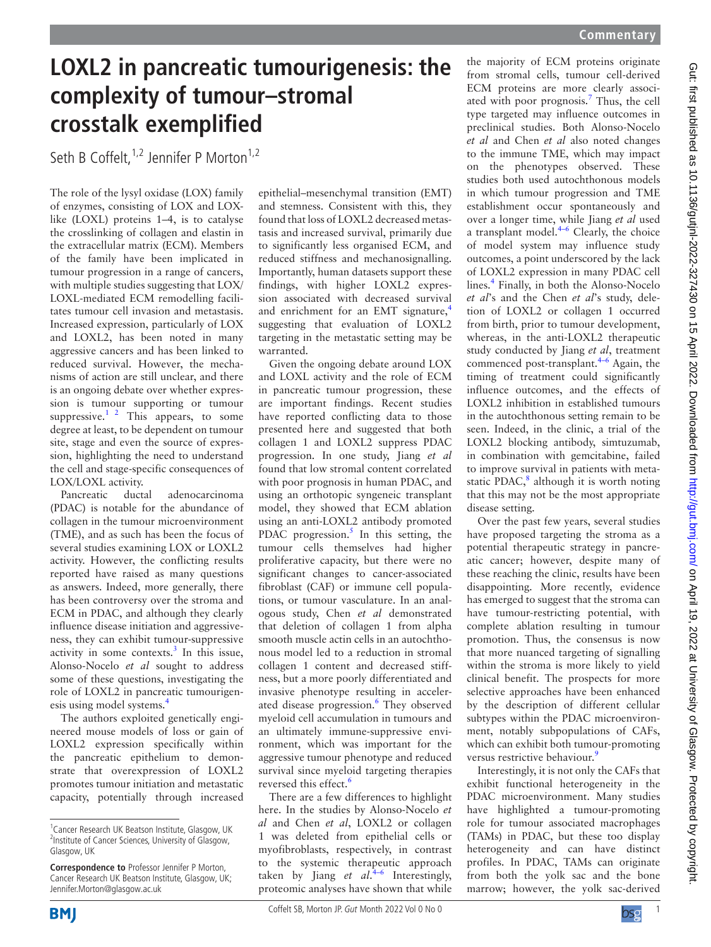## **LOXL2 in pancreatic tumourigenesis: the complexity of tumour–stromal crosstalk exemplified**

Seth B Coffelt.<sup>1,2</sup> Jennifer P Morton<sup>1,2</sup>

The role of the lysyl oxidase (LOX) family of enzymes, consisting of LOX and LOXlike (LOXL) proteins 1–4, is to catalyse the crosslinking of collagen and elastin in the extracellular matrix (ECM). Members of the family have been implicated in tumour progression in a range of cancers, with multiple studies suggesting that LOX/ LOXL-mediated ECM remodelling facilitates tumour cell invasion and metastasis. Increased expression, particularly of LOX and LOXL2, has been noted in many aggressive cancers and has been linked to reduced survival. However, the mechanisms of action are still unclear, and there is an ongoing debate over whether expression is tumour supporting or tumour suppressive. $1^2$  This appears, to some degree at least, to be dependent on tumour site, stage and even the source of expression, highlighting the need to understand the cell and stage-specific consequences of LOX/LOXL activity.

Pancreatic ductal adenocarcinoma (PDAC) is notable for the abundance of collagen in the tumour microenvironment (TME), and as such has been the focus of several studies examining LOX or LOXL2 activity. However, the conflicting results reported have raised as many questions as answers. Indeed, more generally, there has been controversy over the stroma and ECM in PDAC, and although they clearly influence disease initiation and aggressiveness, they can exhibit tumour-suppressive activity in some contexts. $3$  In this issue, Alonso-Nocelo *et al* sought to address some of these questions, investigating the role of LOXL2 in pancreatic tumourigenesis using model systems.[4](#page-1-2)

The authors exploited genetically engineered mouse models of loss or gain of LOXL2 expression specifically within the pancreatic epithelium to demonstrate that overexpression of LOXL2 promotes tumour initiation and metastatic capacity, potentially through increased

epithelial–mesenchymal transition (EMT) and stemness. Consistent with this, they found that loss of LOXL2 decreased metastasis and increased survival, primarily due to significantly less organised ECM, and reduced stiffness and mechanosignalling. Importantly, human datasets support these findings, with higher LOXL2 expression associated with decreased survival and enrichment for an EMT signature,<sup>4</sup> suggesting that evaluation of LOXL2 targeting in the metastatic setting may be warranted.

Given the ongoing debate around LOX and LOXL activity and the role of ECM in pancreatic tumour progression, these are important findings. Recent studies have reported conflicting data to those presented here and suggested that both collagen 1 and LOXL2 suppress PDAC progression. In one study, Jiang *et al* found that low stromal content correlated with poor prognosis in human PDAC, and using an orthotopic syngeneic transplant model, they showed that ECM ablation using an anti-LOXL2 antibody promoted PDAC progression.<sup>5</sup> In this setting, the tumour cells themselves had higher proliferative capacity, but there were no significant changes to cancer-associated fibroblast (CAF) or immune cell populations, or tumour vasculature. In an analogous study, Chen *et al* demonstrated that deletion of collagen 1 from alpha smooth muscle actin cells in an autochthonous model led to a reduction in stromal collagen 1 content and decreased stiffness, but a more poorly differentiated and invasive phenotype resulting in acceler-ated disease progression.<sup>[6](#page-1-4)</sup> They observed myeloid cell accumulation in tumours and an ultimately immune-suppressive environment, which was important for the aggressive tumour phenotype and reduced survival since myeloid targeting therapies reversed this effect.<sup>6</sup>

There are a few differences to highlight here. In the studies by Alonso-Nocelo *et al* and Chen *et al*, LOXL2 or collagen 1 was deleted from epithelial cells or myofibroblasts, respectively, in contrast to the systemic therapeutic approach taken by Jiang *et al*. [4–6](#page-1-2) Interestingly, proteomic analyses have shown that while

the majority of ECM proteins originate from stromal cells, tumour cell-derived ECM proteins are more clearly associ-ated with poor prognosis.<sup>[7](#page-1-5)</sup> Thus, the cell type targeted may influence outcomes in preclinical studies. Both Alonso-Nocelo *et al* and Chen *et al* also noted changes to the immune TME, which may impact on the phenotypes observed. These studies both used autochthonous models in which tumour progression and TME establishment occur spontaneously and over a longer time, while Jiang *et al* used a transplant model. $4-6$  Clearly, the choice of model system may influence study outcomes, a point underscored by the lack of LOXL2 expression in many PDAC cell lines.<sup>[4](#page-1-2)</sup> Finally, in both the Alonso-Nocelo *et al*'s and the Chen *et al*'s study, deletion of LOXL2 or collagen 1 occurred from birth, prior to tumour development, whereas, in the anti-LOXL2 therapeutic study conducted by Jiang *et al*, treatment commenced post-transplant. $4-6$  Again, the timing of treatment could significantly influence outcomes, and the effects of LOXL2 inhibition in established tumours in the autochthonous setting remain to be seen. Indeed, in the clinic, a trial of the LOXL2 blocking antibody, simtuzumab, in combination with gemcitabine, failed to improve survival in patients with metastatic PDAC, $8$  although it is worth noting that this may not be the most appropriate disease setting.

Over the past few years, several studies have proposed targeting the stroma as a potential therapeutic strategy in pancreatic cancer; however, despite many of these reaching the clinic, results have been disappointing. More recently, evidence has emerged to suggest that the stroma can have tumour-restricting potential, with complete ablation resulting in tumour promotion. Thus, the consensus is now that more nuanced targeting of signalling within the stroma is more likely to yield clinical benefit. The prospects for more selective approaches have been enhanced by the description of different cellular subtypes within the PDAC microenvironment, notably subpopulations of CAFs, which can exhibit both tumour-promoting versus restrictive behaviour.<sup>[9](#page-1-7)</sup>

Interestingly, it is not only the CAFs that exhibit functional heterogeneity in the PDAC microenvironment. Many studies have highlighted a tumour-promoting role for tumour associated macrophages (TAMs) in PDAC, but these too display heterogeneity and can have distinct profiles. In PDAC, TAMs can originate from both the yolk sac and the bone marrow; however, the yolk sac-derived



<sup>&</sup>lt;sup>1</sup> Cancer Research UK Beatson Institute, Glasgow, UK <sup>2</sup>Institute of Cancer Sciences, University of Glasgow, Glasgow, UK

**Correspondence to** Professor Jennifer P Morton, Cancer Research UK Beatson Institute, Glasgow, UK; Jennifer.Morton@glasgow.ac.uk